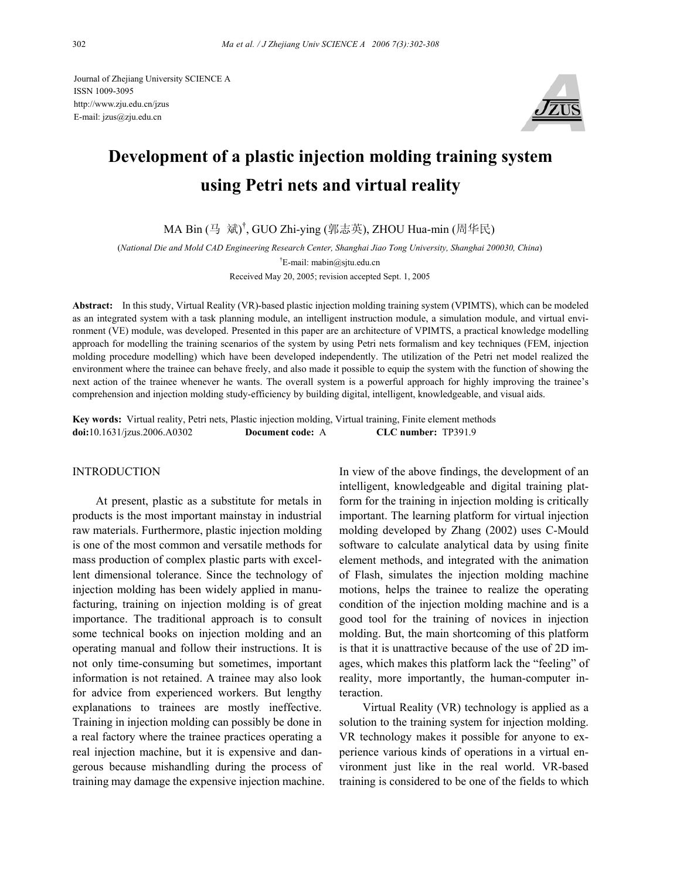Journal of Zhejiang University SCIENCE A ISSN 1009-3095 http://www.zju.edu.cn/jzus E-mail: jzus@zju.edu.cn



# **Development of a plastic injection molding training system using Petri nets and virtual reality**

MA Bin (马 斌) † , GUO Zhi-ying (郭志英), ZHOU Hua-min (周华民)

(*National Die and Mold CAD Engineering Research Center, Shanghai Jiao Tong University, Shanghai 200030, China*) † E-mail: mabin@sjtu.edu.cn Received May 20, 2005; revision accepted Sept. 1, 2005

**Abstract:** In this study, Virtual Reality (VR)-based plastic injection molding training system (VPIMTS), which can be modeled as an integrated system with a task planning module, an intelligent instruction module, a simulation module, and virtual environment (VE) module, was developed. Presented in this paper are an architecture of VPIMTS, a practical knowledge modelling approach for modelling the training scenarios of the system by using Petri nets formalism and key techniques (FEM, injection molding procedure modelling) which have been developed independently. The utilization of the Petri net model realized the environment where the trainee can behave freely, and also made it possible to equip the system with the function of showing the next action of the trainee whenever he wants. The overall system is a powerful approach for highly improving the trainee's comprehension and injection molding study-efficiency by building digital, intelligent, knowledgeable, and visual aids.

**Key words:** Virtual reality, Petri nets, Plastic injection molding, Virtual training, Finite element methods **doi:**10.1631/jzus.2006.A0302 **Document code:** A **CLC number:** TP391.9

# **INTRODUCTION**

At present, plastic as a substitute for metals in products is the most important mainstay in industrial raw materials. Furthermore, plastic injection molding is one of the most common and versatile methods for mass production of complex plastic parts with excellent dimensional tolerance. Since the technology of injection molding has been widely applied in manufacturing, training on injection molding is of great importance. The traditional approach is to consult some technical books on injection molding and an operating manual and follow their instructions. It is not only time-consuming but sometimes, important information is not retained. A trainee may also look for advice from experienced workers. But lengthy explanations to trainees are mostly ineffective. Training in injection molding can possibly be done in a real factory where the trainee practices operating a real injection machine, but it is expensive and dangerous because mishandling during the process of training may damage the expensive injection machine.

In view of the above findings, the development of an intelligent, knowledgeable and digital training platform for the training in injection molding is critically important. The learning platform for virtual injection molding developed by Zhang (2002) uses C-Mould software to calculate analytical data by using finite element methods, and integrated with the animation of Flash, simulates the injection molding machine motions, helps the trainee to realize the operating condition of the injection molding machine and is a good tool for the training of novices in injection molding. But, the main shortcoming of this platform is that it is unattractive because of the use of 2D images, which makes this platform lack the "feeling" of reality, more importantly, the human-computer interaction.

Virtual Reality (VR) technology is applied as a solution to the training system for injection molding. VR technology makes it possible for anyone to experience various kinds of operations in a virtual environment just like in the real world. VR-based training is considered to be one of the fields to which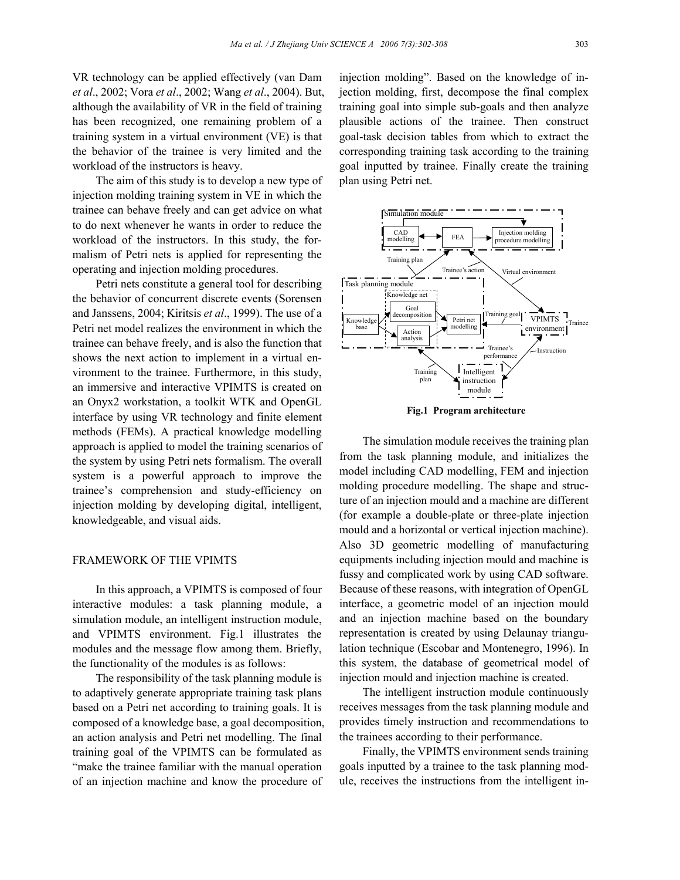VR technology can be applied effectively (van Dam *et al*., 2002; Vora *et al*., 2002; Wang *et al*., 2004). But, although the availability of VR in the field of training has been recognized, one remaining problem of a training system in a virtual environment (VE) is that the behavior of the trainee is very limited and the workload of the instructors is heavy.

The aim of this study is to develop a new type of injection molding training system in VE in which the trainee can behave freely and can get advice on what to do next whenever he wants in order to reduce the workload of the instructors. In this study, the formalism of Petri nets is applied for representing the operating and injection molding procedures.

Petri nets constitute a general tool for describing the behavior of concurrent discrete events (Sorensen and Janssens, 2004; Kiritsis *et al*., 1999). The use of a Petri net model realizes the environment in which the trainee can behave freely, and is also the function that shows the next action to implement in a virtual environment to the trainee. Furthermore, in this study, an immersive and interactive VPIMTS is created on an Onyx2 workstation, a toolkit WTK and OpenGL interface by using VR technology and finite element methods (FEMs). A practical knowledge modelling approach is applied to model the training scenarios of the system by using Petri nets formalism. The overall system is a powerful approach to improve the trainee's comprehension and study-efficiency on injection molding by developing digital, intelligent, knowledgeable, and visual aids.

#### FRAMEWORK OF THE VPIMTS

In this approach, a VPIMTS is composed of four interactive modules: a task planning module, a simulation module, an intelligent instruction module, and VPIMTS environment. Fig.1 illustrates the modules and the message flow among them. Briefly, the functionality of the modules is as follows:

The responsibility of the task planning module is to adaptively generate appropriate training task plans based on a Petri net according to training goals. It is composed of a knowledge base, a goal decomposition, an action analysis and Petri net modelling. The final training goal of the VPIMTS can be formulated as "make the trainee familiar with the manual operation of an injection machine and know the procedure of

injection molding". Based on the knowledge of injection molding, first, decompose the final complex training goal into simple sub-goals and then analyze plausible actions of the trainee. Then construct goal-task decision tables from which to extract the corresponding training task according to the training goal inputted by trainee. Finally create the training plan using Petri net.



**Fig.1 Program architecture** 

The simulation module receives the training plan from the task planning module, and initializes the model including CAD modelling, FEM and injection molding procedure modelling. The shape and structure of an injection mould and a machine are different (for example a double-plate or three-plate injection mould and a horizontal or vertical injection machine). Also 3D geometric modelling of manufacturing equipments including injection mould and machine is fussy and complicated work by using CAD software. Because of these reasons, with integration of OpenGL interface, a geometric model of an injection mould and an injection machine based on the boundary representation is created by using Delaunay triangulation technique (Escobar and Montenegro, 1996). In this system, the database of geometrical model of injection mould and injection machine is created.

The intelligent instruction module continuously receives messages from the task planning module and provides timely instruction and recommendations to the trainees according to their performance.

Finally, the VPIMTS environment sends training goals inputted by a trainee to the task planning module, receives the instructions from the intelligent in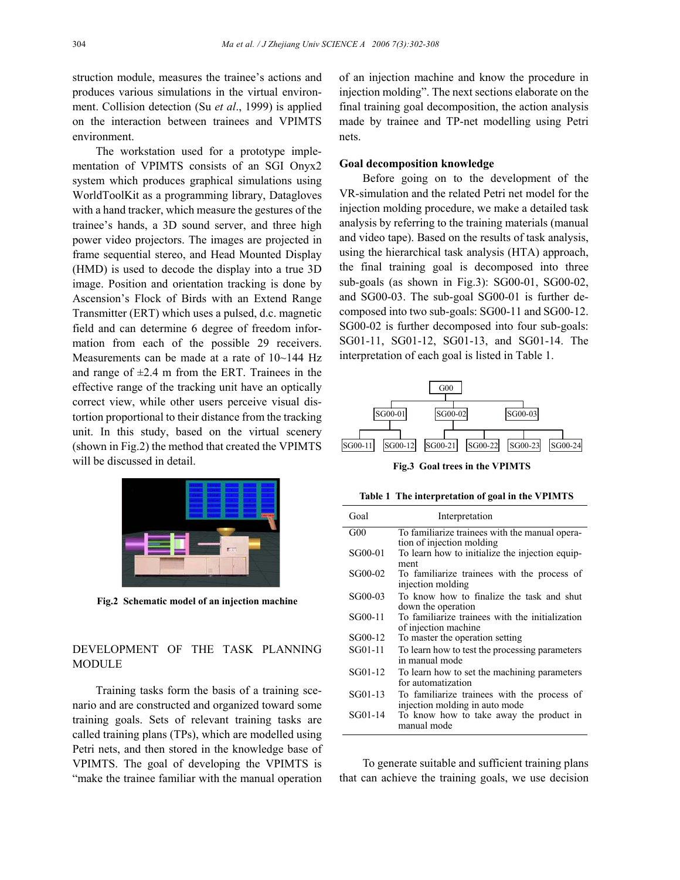struction module, measures the trainee's actions and produces various simulations in the virtual environment. Collision detection (Su *et al*., 1999) is applied on the interaction between trainees and VPIMTS environment.

The workstation used for a prototype implementation of VPIMTS consists of an SGI Onyx2 system which produces graphical simulations using WorldToolKit as a programming library, Datagloves with a hand tracker, which measure the gestures of the trainee's hands, a 3D sound server, and three high power video projectors. The images are projected in frame sequential stereo, and Head Mounted Display (HMD) is used to decode the display into a true 3D image. Position and orientation tracking is done by Ascension's Flock of Birds with an Extend Range Transmitter (ERT) which uses a pulsed, d.c. magnetic field and can determine 6 degree of freedom information from each of the possible 29 receivers. Measurements can be made at a rate of 10~144 Hz and range of  $\pm 2.4$  m from the ERT. Trainees in the effective range of the tracking unit have an optically correct view, while other users perceive visual distortion proportional to their distance from the tracking unit. In this study, based on the virtual scenery (shown in Fig.2) the method that created the VPIMTS will be discussed in detail.



**Fig.2 Schematic model of an injection machine** 

# DEVELOPMENT OF THE TASK PLANNING MODULE

Training tasks form the basis of a training scenario and are constructed and organized toward some training goals. Sets of relevant training tasks are called training plans (TPs), which are modelled using Petri nets, and then stored in the knowledge base of VPIMTS. The goal of developing the VPIMTS is "make the trainee familiar with the manual operation of an injection machine and know the procedure in injection molding". The next sections elaborate on the final training goal decomposition, the action analysis made by trainee and TP-net modelling using Petri nets.

#### **Goal decomposition knowledge**

Before going on to the development of the VR-simulation and the related Petri net model for the injection molding procedure, we make a detailed task analysis by referring to the training materials (manual and video tape). Based on the results of task analysis, using the hierarchical task analysis (HTA) approach, the final training goal is decomposed into three sub-goals (as shown in Fig.3): SG00-01, SG00-02, and SG00-03. The sub-goal SG00-01 is further decomposed into two sub-goals: SG00-11 and SG00-12. SG00-02 is further decomposed into four sub-goals: SG01-11, SG01-12, SG01-13, and SG01-14. The interpretation of each goal is listed in Table 1.



**Fig.3 Goal trees in the VPIMTS** 

**Table 1 The interpretation of goal in the VPIMTS** 

| Goal            | Interpretation                                                                |
|-----------------|-------------------------------------------------------------------------------|
| G <sub>00</sub> | To familiarize trainees with the manual opera-<br>tion of injection molding   |
| SG00-01         | To learn how to initialize the injection equip-<br>ment                       |
| SG00-02         | To familiarize trainees with the process of<br>injection molding              |
| SG00-03         | To know how to finalize the task and shut<br>down the operation               |
| SG00-11         | To familiarize trainees with the initialization<br>of injection machine       |
| SG00-12         | To master the operation setting                                               |
| SG01-11         | To learn how to test the processing parameters<br>in manual mode              |
| SG01-12         | To learn how to set the machining parameters<br>for automatization            |
| SG01-13         | To familiarize trainees with the process of<br>injection molding in auto mode |
| SG01-14         | To know how to take away the product in<br>manual mode                        |
|                 |                                                                               |

To generate suitable and sufficient training plans that can achieve the training goals, we use decision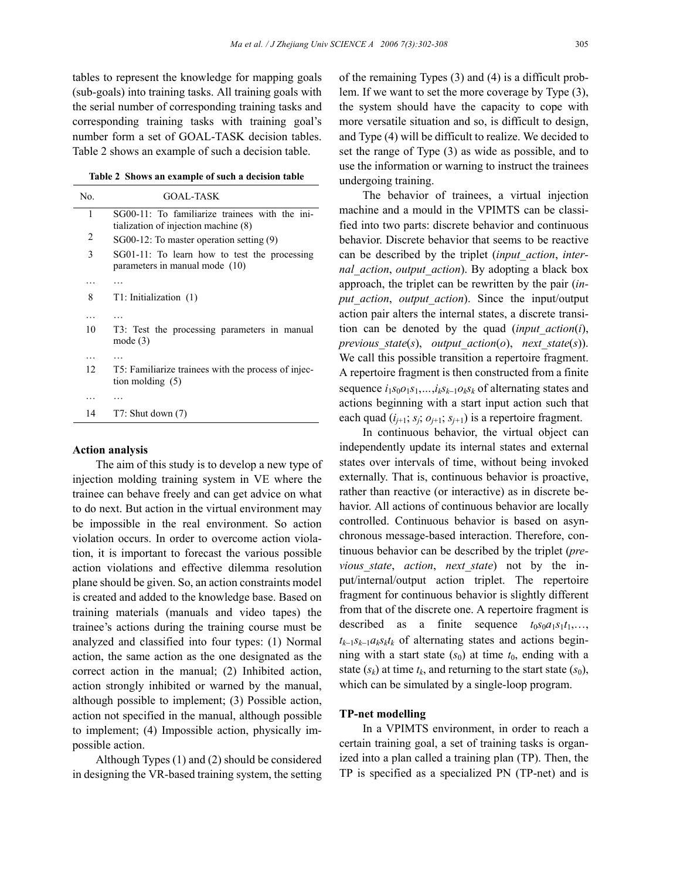tables to represent the knowledge for mapping goals (sub-goals) into training tasks. All training goals with the serial number of corresponding training tasks and corresponding training tasks with training goal's number form a set of GOAL-TASK decision tables. Table 2 shows an example of such a decision table.

**Table 2 Shows an example of such a decision table** 

| No. | <b>GOAL-TASK</b>                                                                       |
|-----|----------------------------------------------------------------------------------------|
| 1   | SG00-11: To familiarize trainees with the ini-<br>tialization of injection machine (8) |
| 2   | $SG00-12$ : To master operation setting $(9)$                                          |
| 3   | SG01-11: To learn how to test the processing<br>parameters in manual mode (10)         |
| .   | .                                                                                      |
| 8   | $T1$ : Initialization $(1)$                                                            |
|     | .                                                                                      |
| 10  | T3: Test the processing parameters in manual<br>mode $(3)$                             |
| .   |                                                                                        |
| 12  | T5: Familiarize trainees with the process of injec-<br>tion molding $(5)$              |
| .   | .                                                                                      |
| 14  | $T$ ?: Shut down $(7)$                                                                 |

#### **Action analysis**

The aim of this study is to develop a new type of injection molding training system in VE where the trainee can behave freely and can get advice on what to do next. But action in the virtual environment may be impossible in the real environment. So action violation occurs. In order to overcome action violation, it is important to forecast the various possible action violations and effective dilemma resolution plane should be given. So, an action constraints model is created and added to the knowledge base. Based on training materials (manuals and video tapes) the trainee's actions during the training course must be analyzed and classified into four types: (1) Normal action, the same action as the one designated as the correct action in the manual; (2) Inhibited action, action strongly inhibited or warned by the manual, although possible to implement; (3) Possible action, action not specified in the manual, although possible to implement; (4) Impossible action, physically impossible action.

Although Types (1) and (2) should be considered in designing the VR-based training system, the setting of the remaining Types (3) and (4) is a difficult problem. If we want to set the more coverage by Type (3), the system should have the capacity to cope with more versatile situation and so, is difficult to design, and Type (4) will be difficult to realize. We decided to set the range of Type (3) as wide as possible, and to use the information or warning to instruct the trainees undergoing training.

The behavior of trainees, a virtual injection machine and a mould in the VPIMTS can be classified into two parts: discrete behavior and continuous behavior. Discrete behavior that seems to be reactive can be described by the triplet (*input\_action*, *internal\_action*, *output\_action*). By adopting a black box approach, the triplet can be rewritten by the pair (*input\_action*, *output\_action*). Since the input/output action pair alters the internal states, a discrete transition can be denoted by the quad (*input\_action*(*i*), *previous\_state*(*s*), *output\_action*(*o*), *next\_state*(*s*)). We call this possible transition a repertoire fragment. A repertoire fragment is then constructed from a finite sequence  $i_1s_0o_1s_1, \ldots, i_ks_{k-1}o_ks_k$  of alternating states and actions beginning with a start input action such that each quad  $(i_{i+1}, s_i, o_{i+1}, s_{i+1})$  is a repertoire fragment.

In continuous behavior, the virtual object can independently update its internal states and external states over intervals of time, without being invoked externally. That is, continuous behavior is proactive, rather than reactive (or interactive) as in discrete behavior. All actions of continuous behavior are locally controlled. Continuous behavior is based on asynchronous message-based interaction. Therefore, continuous behavior can be described by the triplet (*previous\_state*, *action*, *next\_state*) not by the input/internal/output action triplet. The repertoire fragment for continuous behavior is slightly different from that of the discrete one. A repertoire fragment is described as a finite sequence  $t_0s_0a_1s_1t_1,...,$ *tk*−1*sk*−1*aksktk* of alternating states and actions beginning with a start state  $(s_0)$  at time  $t_0$ , ending with a state  $(s_k)$  at time  $t_k$ , and returning to the start state  $(s_0)$ , which can be simulated by a single-loop program.

## **TP-net modelling**

In a VPIMTS environment, in order to reach a certain training goal, a set of training tasks is organized into a plan called a training plan (TP). Then, the TP is specified as a specialized PN (TP-net) and is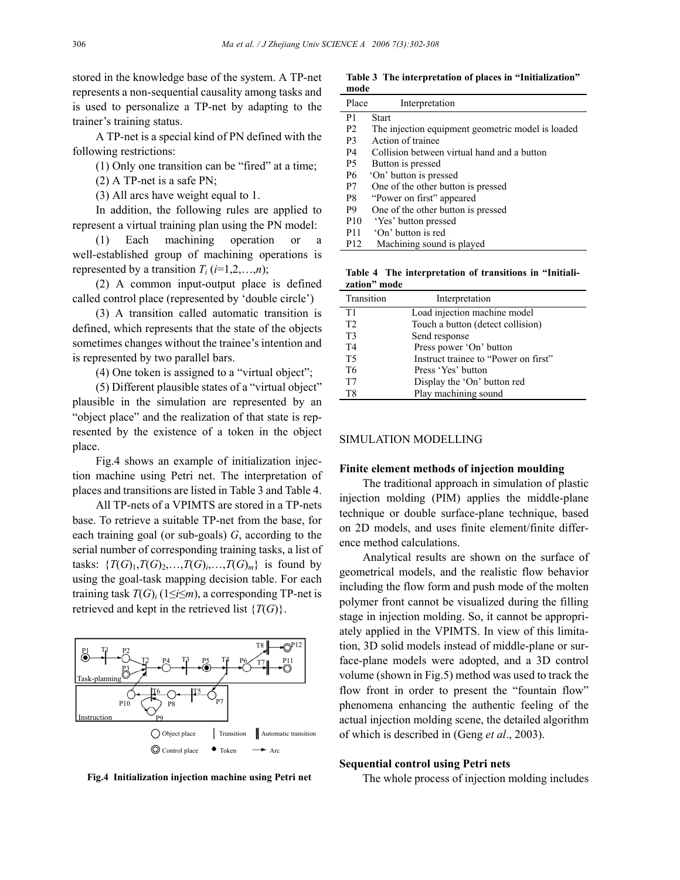stored in the knowledge base of the system. A TP-net represents a non-sequential causality among tasks and is used to personalize a TP-net by adapting to the trainer's training status.

A TP-net is a special kind of PN defined with the following restrictions:

- (1) Only one transition can be "fired" at a time;
- (2) A TP-net is a safe PN;
- (3) All arcs have weight equal to 1.

In addition, the following rules are applied to represent a virtual training plan using the PN model:

(1) Each machining operation or a well-established group of machining operations is represented by a transition  $T_i$  ( $i=1,2,...,n$ );

(2) A common input-output place is defined called control place (represented by 'double circle')

(3) A transition called automatic transition is defined, which represents that the state of the objects sometimes changes without the trainee's intention and is represented by two parallel bars.

(4) One token is assigned to a "virtual object";

(5) Different plausible states of a "virtual object" plausible in the simulation are represented by an "object place" and the realization of that state is represented by the existence of a token in the object place.

Fig.4 shows an example of initialization injection machine using Petri net. The interpretation of places and transitions are listed in Table 3 and Table 4.

All TP-nets of a VPIMTS are stored in a TP-nets base. To retrieve a suitable TP-net from the base, for each training goal (or sub-goals) *G*, according to the serial number of corresponding training tasks, a list of tasks:  $\{T(G)_1, T(G)_2, \ldots, T(G)_i, \ldots, T(G)_m\}$  is found by using the goal-task mapping decision table. For each training task  $T(G)$ <sup>*i*</sup> (1≤*i*≤*m*), a corresponding TP-net is retrieved and kept in the retrieved list  ${T(G)}$ .



**Fig.4 Initialization injection machine using Petri net** 

**Table 3 The interpretation of places in "Initialization" mode**

| Place           | Interpretation                                    |
|-----------------|---------------------------------------------------|
| P1              | <b>Start</b>                                      |
| P <sub>2</sub>  | The injection equipment geometric model is loaded |
| P <sub>3</sub>  | Action of trainee                                 |
| P4              | Collision between virtual hand and a button       |
| P <sub>5</sub>  | Button is pressed                                 |
| <b>P6</b>       | 'On' button is pressed                            |
| P7              | One of the other button is pressed                |
| P8              | "Power on first" appeared                         |
| P9              | One of the other button is pressed                |
| P <sub>10</sub> | 'Yes' button pressed                              |
| P <sub>11</sub> | 'On' button is red                                |
| P <sub>12</sub> | Machining sound is played                         |

**Table 4 The interpretation of transitions in "Initialization" mode** 

| Transition     | Interpretation                       |
|----------------|--------------------------------------|
| T1             | Load injection machine model         |
| T2             | Touch a button (detect collision)    |
| T <sup>3</sup> | Send response                        |
| T <sub>4</sub> | Press power 'On' button              |
| T <sub>5</sub> | Instruct trainee to "Power on first" |
| T6             | Press 'Yes' button                   |
| T7             | Display the 'On' button red          |
| T8             | Play machining sound                 |

#### SIMULATION MODELLING

#### **Finite element methods of injection moulding**

The traditional approach in simulation of plastic injection molding (PIM) applies the middle-plane technique or double surface-plane technique, based on 2D models, and uses finite element/finite difference method calculations.

Analytical results are shown on the surface of geometrical models, and the realistic flow behavior including the flow form and push mode of the molten polymer front cannot be visualized during the filling stage in injection molding. So, it cannot be appropriately applied in the VPIMTS. In view of this limitation, 3D solid models instead of middle-plane or surface-plane models were adopted, and a 3D control volume (shown in Fig.5) method was used to track the flow front in order to present the "fountain flow" phenomena enhancing the authentic feeling of the actual injection molding scene, the detailed algorithm of which is described in (Geng *et al*., 2003).

#### **Sequential control using Petri nets**

The whole process of injection molding includes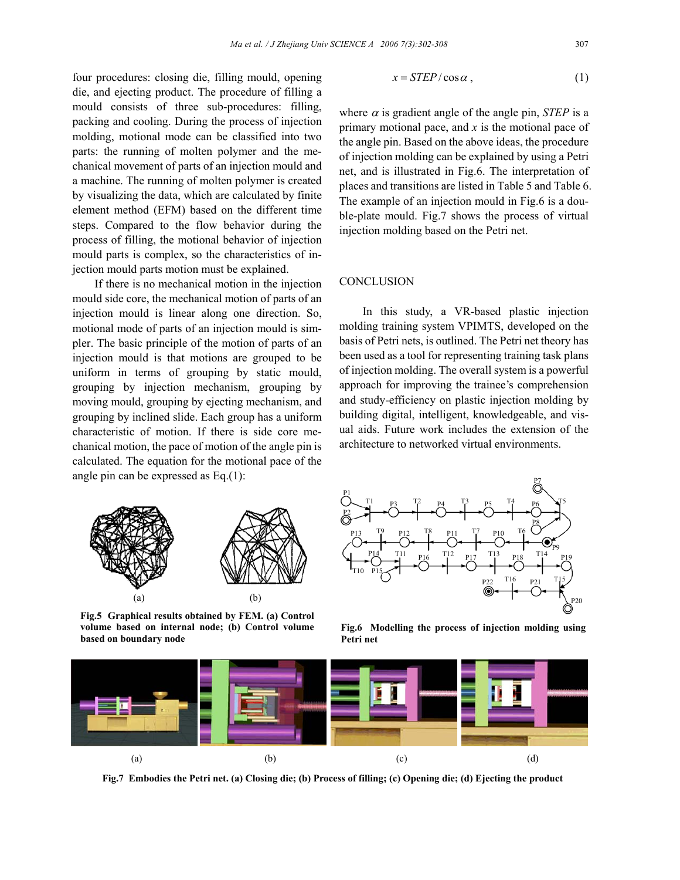four procedures: closing die, filling mould, opening die, and ejecting product. The procedure of filling a mould consists of three sub-procedures: filling, packing and cooling. During the process of injection molding, motional mode can be classified into two parts: the running of molten polymer and the mechanical movement of parts of an injection mould and a machine. The running of molten polymer is created by visualizing the data, which are calculated by finite element method (EFM) based on the different time steps. Compared to the flow behavior during the process of filling, the motional behavior of injection mould parts is complex, so the characteristics of injection mould parts motion must be explained.

If there is no mechanical motion in the injection mould side core, the mechanical motion of parts of an injection mould is linear along one direction. So, motional mode of parts of an injection mould is simpler. The basic principle of the motion of parts of an injection mould is that motions are grouped to be uniform in terms of grouping by static mould, grouping by injection mechanism, grouping by moving mould, grouping by ejecting mechanism, and grouping by inclined slide. Each group has a uniform characteristic of motion. If there is side core mechanical motion, the pace of motion of the angle pin is calculated. The equation for the motional pace of the angle pin can be expressed as Eq.(1):

## $x = \text{STEP}/\cos \alpha$ , (1)

where  $\alpha$  is gradient angle of the angle pin, *STEP* is a primary motional pace, and *x* is the motional pace of the angle pin. Based on the above ideas, the procedure of injection molding can be explained by using a Petri net, and is illustrated in Fig.6. The interpretation of places and transitions are listed in Table 5 and Table 6. The example of an injection mould in Fig.6 is a double-plate mould. Fig.7 shows the process of virtual injection molding based on the Petri net.

# **CONCLUSION**

In this study, a VR-based plastic injection molding training system VPIMTS, developed on the basis of Petri nets, is outlined. The Petri net theory has been used as a tool for representing training task plans of injection molding. The overall system is a powerful approach for improving the trainee's comprehension and study-efficiency on plastic injection molding by building digital, intelligent, knowledgeable, and visual aids. Future work includes the extension of the architecture to networked virtual environments.



**Fig.5 Graphical results obtained by FEM. (a) Control volume based on internal node; (b) Control volume based on boundary node**



**Fig.6 Modelling the process of injection molding using Petri net** 



**Fig.7 Embodies the Petri net. (a) Closing die; (b) Process of filling; (c) Opening die; (d) Ejecting the product**